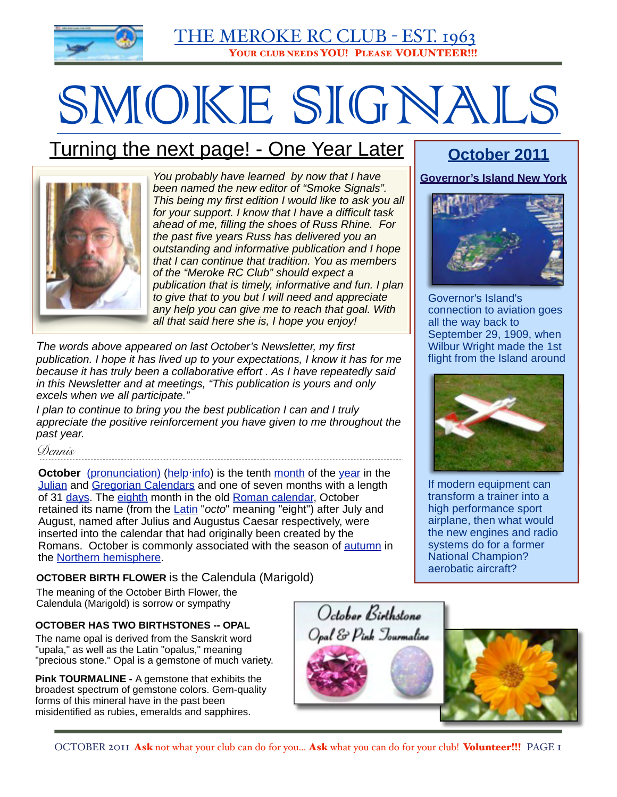

# SMOKE SIGNALS

# Turning the next page! - One Year Later



*You probably have learned by now that I have been named the new editor of "Smoke Signals". This being my first edition I would like to ask you all for your support. I know that I have a difficult task ahead of me, filling the shoes of Russ Rhine. For the past five years Russ has delivered you an outstanding and informative publication and I hope that I can continue that tradition. You as members of the "Meroke RC Club" should expect a publication that is timely, informative and fun. I plan to give that to you but I will need and appreciate any help you can give me to reach that goal. With all that said here she is, I hope you enjoy!* 

*The words above appeared on last October's Newsletter, my first publication. I hope it has lived up to your expectations, I know it has for me because it has truly been a collaborative effort . As I have repeatedly said in this Newsletter and at meetings, "This publication is yours and only excels when we all participate."* 

*I plan to continue to bring you the best publication I can and I truly*  appreciate the positive reinforcement you have given to me throughout the *past year.*

*Dennis*

**October** [\(pronunciation\)](http://upload.wikimedia.org/wikipedia/commons/2/26/En-us-October.ogg) [\(help](http://en.wikipedia.org/wiki/Wikipedia:Media_help) [info\)](http://en.wikipedia.org/wiki/File:En-us-October.ogg) is the tenth [month](http://en.wikipedia.org/wiki/Month) of the [year](http://en.wikipedia.org/wiki/Year) in the [Julian](http://en.wikipedia.org/wiki/Julian_calendar) and [Gregorian Calendars](http://en.wikipedia.org/wiki/Gregorian_Calendar) and one of seven months with a length of 31 [days.](http://en.wikipedia.org/wiki/Day) The [eighth](http://en.wikipedia.org/wiki/Eight) month in the old [Roman calendar,](http://en.wikipedia.org/wiki/Roman_calendar) October retained its name (from the [Latin](http://en.wikipedia.org/wiki/Latin_language) "*octo*" meaning "eight") after July and August, named after Julius and Augustus Caesar respectively, were inserted into the calendar that had originally been created by the Romans. October is commonly associated with the season of [autumn](http://en.wikipedia.org/wiki/Autumn) in the [Northern hemisphere.](http://en.wikipedia.org/wiki/Northern_hemisphere)

**OCTOBER BIRTH FLOWER** is the Calendula (Marigold)

The meaning of the October Birth Flower, the Calendula (Marigold) is sorrow or sympathy

#### **OCTOBER HAS TWO BIRTHSTONES -- OPAL**

The name opal is derived from the Sanskrit word "upala," as well as the Latin "opalus," meaning "precious stone." Opal is a gemstone of much variety.

**Pink TOURMALINE -** A gemstone that exhibits the broadest spectrum of gemstone colors. Gem-quality forms of this mineral have in the past been misidentified as rubies, emeralds and sapphires.

#### OCTOBER 2011 Ask not what your club can do for you... Ask what you can do for your club! Volunteer!!! PAGE 1

### **October 2011**

**Governor's Island New York**



Governor's Island's connection to aviation goes all the way back to September 29, 1909, when Wilbur Wright made the 1st flight from the Island around



If modern equipment can transform a trainer into a high performance sport airplane, then what would the new engines and radio systems do for a former National Champion? aerobatic aircraft?



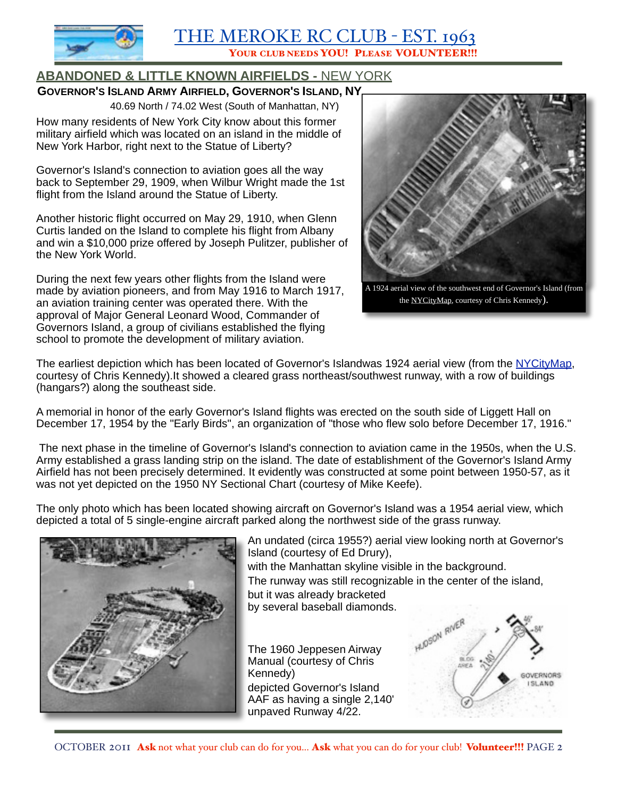

### **ABANDONED & LITTLE KNOWN AIRFIELDS -** NEW YORK

**GOVERNOR'S ISLAND ARMY AIRFIELD, GOVERNOR'S ISLAND, NY**

40.69 North / 74.02 West (South of Manhattan, NY)

How many residents of New York City know about this former military airfield which was located on an island in the middle of New York Harbor, right next to the Statue of Liberty?

Governor's Island's connection to aviation goes all the way back to September 29, 1909, when Wilbur Wright made the 1st flight from the Island around the Statue of Liberty.

Another historic flight occurred on May 29, 1910, when Glenn Curtis landed on the Island to complete his flight from Albany and win a \$10,000 prize offered by Joseph Pulitzer, publisher of the New York World.

During the next few years other flights from the Island were made by aviation pioneers, and from May 1916 to March 1917, an aviation training center was operated there. With the approval of Major General Leonard Wood, Commander of Governors Island, a group of civilians established the flying school to promote the development of military aviation.



the [NYCityMap,](http://gis.nyc.gov/doitt/nycitymap/) courtesy of Chris Kennedy).

The earliest depiction which has been located of Governor's Islandwas 1924 aerial view (from the [NYCityMap,](http://gis.nyc.gov/doitt/nycitymap/) courtesy of Chris Kennedy).It showed a cleared grass northeast/southwest runway, with a row of buildings (hangars?) along the southeast side.

A memorial in honor of the early Governor's Island flights was erected on the south side of Liggett Hall on December 17, 1954 by the "Early Birds", an organization of "those who flew solo before December 17, 1916."

 The next phase in the timeline of Governor's Island's connection to aviation came in the 1950s, when the U.S. Army established a grass landing strip on the island. The date of establishment of the Governor's Island Army Airfield has not been precisely determined. It evidently was constructed at some point between 1950-57, as it was not yet depicted on the 1950 NY Sectional Chart (courtesy of Mike Keefe).

The only photo which has been located showing aircraft on Governor's Island was a 1954 aerial view, which depicted a total of 5 single-engine aircraft parked along the northwest side of the grass runway.



An undated (circa 1955?) aerial view looking north at Governor's Island (courtesy of Ed Drury),

with the Manhattan skyline visible in the background. The runway was still recognizable in the center of the island, but it was already bracketed by several baseball diamonds.

The 1960 Jeppesen Airway Manual (courtesy of Chris Kennedy) depicted Governor's Island AAF as having a single 2,140' unpaved Runway 4/22.

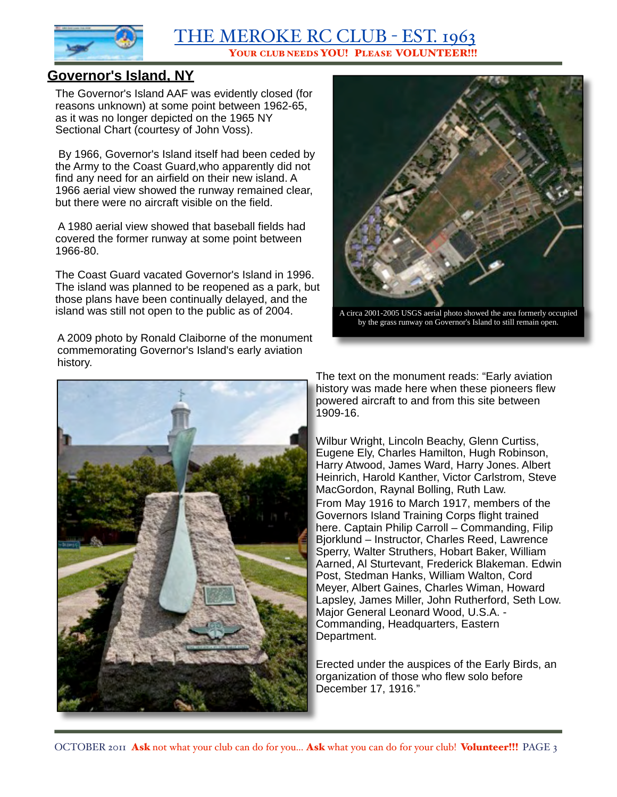

### **Governor's Island, NY**

The Governor's Island AAF was evidently closed (for reasons unknown) at some point between 1962-65, as it was no longer depicted on the 1965 NY Sectional Chart (courtesy of John Voss).

 By 1966, Governor's Island itself had been ceded by the Army to the Coast Guard,who apparently did not find any need for an airfield on their new island. A 1966 aerial view showed the runway remained clear, but there were no aircraft visible on the field.

 A 1980 aerial view showed that baseball fields had covered the former runway at some point between 1966-80.

The Coast Guard vacated Governor's Island in 1996. The island was planned to be reopened as a park, but those plans have been continually delayed, and the island was still not open to the public as of 2004. A circa 2001-2005 USGS aerial photo showed the area formerly occupied

A 2009 photo by Ronald Claiborne of the monument commemorating Governor's Island's early aviation history.





by the grass runway on Governor's Island to still remain open.

The text on the monument reads: "Early aviation history was made here when these pioneers flew powered aircraft to and from this site between 1909-16.

Wilbur Wright, Lincoln Beachy, Glenn Curtiss, Eugene Ely, Charles Hamilton, Hugh Robinson, Harry Atwood, James Ward, Harry Jones. Albert Heinrich, Harold Kanther, Victor Carlstrom, Steve MacGordon, Raynal Bolling, Ruth Law. From May 1916 to March 1917, members of the Governors Island Training Corps flight trained here. Captain Philip Carroll – Commanding, Filip Bjorklund – Instructor, Charles Reed, Lawrence Sperry, Walter Struthers, Hobart Baker, William Aarned, Al Sturtevant, Frederick Blakeman. Edwin Post, Stedman Hanks, William Walton, Cord Meyer, Albert Gaines, Charles Wiman, Howard Lapsley, James Miller, John Rutherford, Seth Low. Major General Leonard Wood, U.S.A. - Commanding, Headquarters, Eastern Department.

Erected under the auspices of the Early Birds, an organization of those who flew solo before December 17, 1916."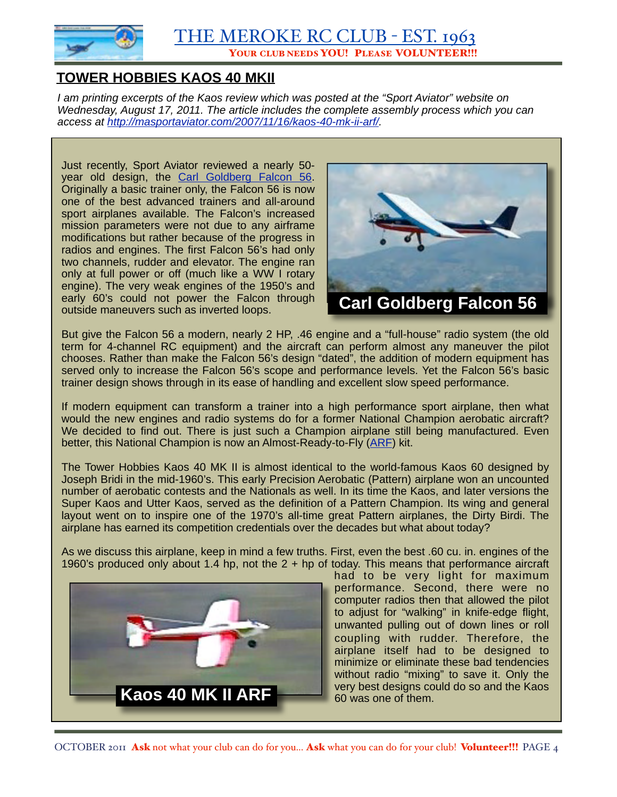

### **TOWER HOBBIES KAOS 40 MKII**

*I am printing excerpts of the Kaos review which was posted at the "Sport Aviator" website on Wednesday, August 17, 2011. The article includes the complete assembly process which you can access at [http://masportaviator.com/2007/11/16/kaos-40-mk-ii-arf/.](http://masportaviator.com/2007/11/16/kaos-40-mk-ii-arf/)*

Just recently, Sport Aviator reviewed a nearly 50- year old design, the [Carl Goldberg Falcon 56.](http://www.masportaviator.com/va.asp?ArticleName=Carl%20Goldberg%20Falcon%2056) Originally a basic trainer only, the Falcon 56 is now one of the best advanced trainers and all-around sport airplanes available. The Falcon's increased mission parameters were not due to any airframe modifications but rather because of the progress in radios and engines. The first Falcon 56's had only two channels, rudder and elevator. The engine ran only at full power or off (much like a WW I rotary engine). The very weak engines of the 1950's and early 60's could not power the Falcon through outside maneuvers such as inverted loops.



But give the Falcon 56 a modern, nearly 2 HP, .46 engine and a "full-house" radio system (the old term for 4-channel RC equipment) and the aircraft can perform almost any maneuver the pilot chooses. Rather than make the Falcon 56's design "dated", the addition of modern equipment has served only to increase the Falcon 56's scope and performance levels. Yet the Falcon 56's basic trainer design shows through in its ease of handling and excellent slow speed performance.

If modern equipment can transform a trainer into a high performance sport airplane, then what would the new engines and radio systems do for a former National Champion aerobatic aircraft? We decided to find out. There is just such a Champion airplane still being manufactured. Even better, this National Champion is now an Almost-Ready-to-Fly [\(ARF\)](http://masportaviator.com/2007/11/16/kaos-40-mk-ii-arf/popUp%28%27def.asp?word=ARF%27%29) kit.

The Tower Hobbies Kaos 40 MK II is almost identical to the world-famous Kaos 60 designed by Joseph Bridi in the mid-1960's. This early Precision Aerobatic (Pattern) airplane won an uncounted number of aerobatic contests and the Nationals as well. In its time the Kaos, and later versions the Super Kaos and Utter Kaos, served as the definition of a Pattern Champion. Its wing and general layout went on to inspire one of the 1970's all-time great Pattern airplanes, the Dirty Birdi. The airplane has earned its competition credentials over the decades but what about today?

As we discuss this airplane, keep in mind a few truths. First, even the best .60 cu. in. engines of the 1960's produced only about 1.4 hp, not the 2 + hp of today. This means that performance aircraft



had to be very light for maximum performance. Second, there were no computer radios then that allowed the pilot to adjust for "walking" in knife-edge flight, unwanted pulling out of down lines or roll coupling with rudder. Therefore, the airplane itself had to be designed to minimize or eliminate these bad tendencies without radio "mixing" to save it. Only the very best designs could do so and the Kaos 60 was one of them.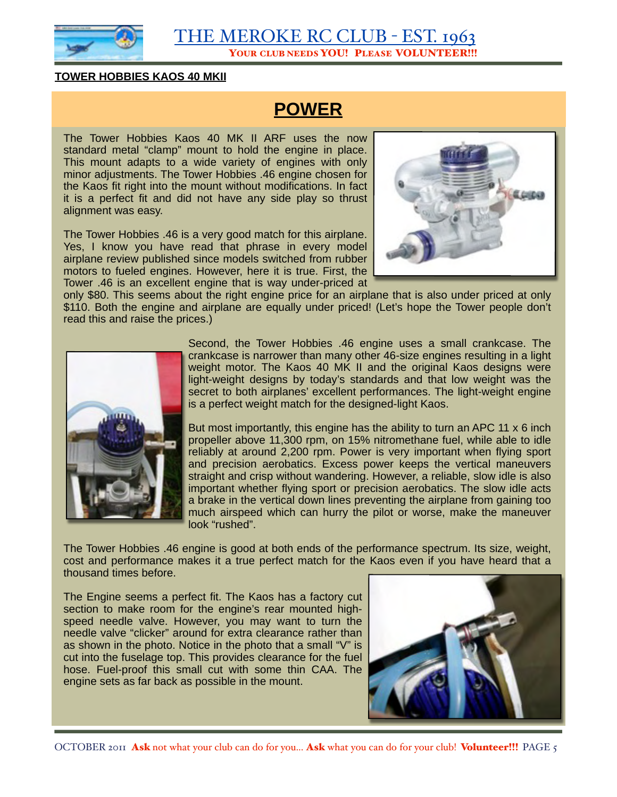

#### **TOWER HOBBIES KAOS 40 MKII**

### **POWER**

The Tower Hobbies Kaos 40 MK II ARF uses the now standard metal "clamp" mount to hold the engine in place. This mount adapts to a wide variety of engines with only minor adjustments. The Tower Hobbies .46 engine chosen for the Kaos fit right into the mount without modifications. In fact it is a perfect fit and did not have any side play so thrust alignment was easy.

The Tower Hobbies .46 is a very good match for this airplane. Yes, I know you have read that phrase in every model airplane review published since models switched from rubber motors to fueled engines. However, here it is true. First, the Tower .46 is an excellent engine that is way under-priced at



only \$80. This seems about the right engine price for an airplane that is also under priced at only \$110. Both the engine and airplane are equally under priced! (Let's hope the Tower people don't read this and raise the prices.)



Second, the Tower Hobbies .46 engine uses a small crankcase. The crankcase is narrower than many other 46-size engines resulting in a light weight motor. The Kaos 40 MK II and the original Kaos designs were light-weight designs by today's standards and that low weight was the secret to both airplanes' excellent performances. The light-weight engine is a perfect weight match for the designed-light Kaos.

But most importantly, this engine has the ability to turn an APC 11 x 6 inch propeller above 11,300 rpm, on 15% nitromethane fuel, while able to idle reliably at around 2,200 rpm. Power is very important when flying sport and precision aerobatics. Excess power keeps the vertical maneuvers straight and crisp without wandering. However, a reliable, slow idle is also important whether flying sport or precision aerobatics. The slow idle acts a brake in the vertical down lines preventing the airplane from gaining too much airspeed which can hurry the pilot or worse, make the maneuver look "rushed".

The Tower Hobbies .46 engine is good at both ends of the performance spectrum. Its size, weight, cost and performance makes it a true perfect match for the Kaos even if you have heard that a thousand times before.

The Engine seems a perfect fit. The Kaos has a factory cut section to make room for the engine's rear mounted highspeed needle valve. However, you may want to turn the needle valve "clicker" around for extra clearance rather than as shown in the photo. Notice in the photo that a small "V" is cut into the fuselage top. This provides clearance for the fuel hose. Fuel-proof this small cut with some thin CAA. The engine sets as far back as possible in the mount.

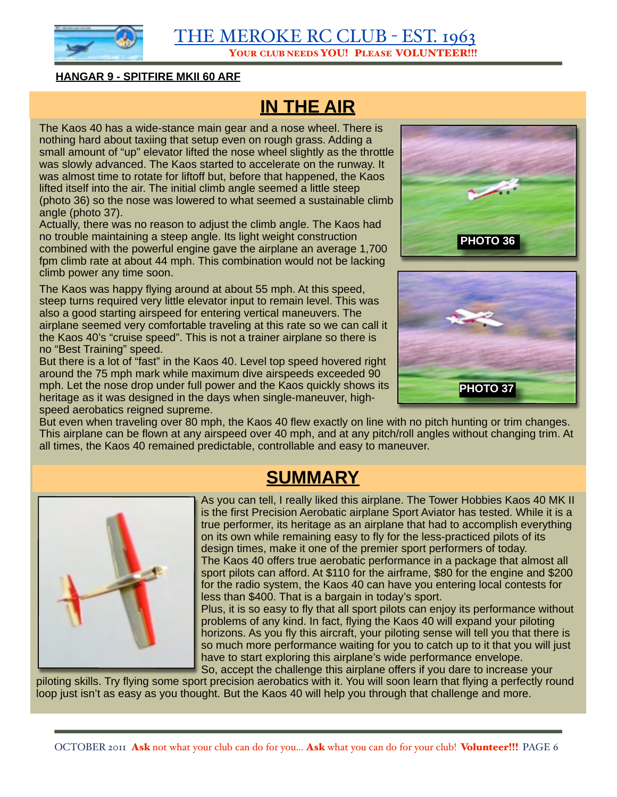

#### **HANGAR 9 - SPITFIRE MKII 60 ARF**

## **IN THE AIR**

The Kaos 40 has a wide-stance main gear and a nose wheel. There is nothing hard about taxiing that setup even on rough grass. Adding a small amount of "up" elevator lifted the nose wheel slightly as the throttle was slowly advanced. The Kaos started to accelerate on the runway. It was almost time to rotate for liftoff but, before that happened, the Kaos lifted itself into the air. The initial climb angle seemed a little steep (photo 36) so the nose was lowered to what seemed a sustainable climb angle (photo 37).

Actually, there was no reason to adjust the climb angle. The Kaos had no trouble maintaining a steep angle. Its light weight construction combined with the powerful engine gave the airplane an average 1,700 fpm climb rate at about 44 mph. This combination would not be lacking climb power any time soon.

The Kaos was happy flying around at about 55 mph. At this speed, steep turns required very little elevator input to remain level. This was also a good starting airspeed for entering vertical maneuvers. The airplane seemed very comfortable traveling at this rate so we can call it the Kaos 40's "cruise speed". This is not a trainer airplane so there is no "Best Training" speed.

But there is a lot of "fast" in the Kaos 40. Level top speed hovered right around the 75 mph mark while maximum dive airspeeds exceeded 90 mph. Let the nose drop under full power and the Kaos quickly shows its heritage as it was designed in the days when single-maneuver, highspeed aerobatics reigned supreme.





But even when traveling over 80 mph, the Kaos 40 flew exactly on line with no pitch hunting or trim changes. This airplane can be flown at any airspeed over 40 mph, and at any pitch/roll angles without changing trim. At all times, the Kaos 40 remained predictable, controllable and easy to maneuver.

### **SUMMARY**



As you can tell, I really liked this airplane. The Tower Hobbies Kaos 40 MK II is the first Precision Aerobatic airplane Sport Aviator has tested. While it is a true performer, its heritage as an airplane that had to accomplish everything on its own while remaining easy to fly for the less-practiced pilots of its design times, make it one of the premier sport performers of today. The Kaos 40 offers true aerobatic performance in a package that almost all sport pilots can afford. At \$110 for the airframe, \$80 for the engine and \$200 for the radio system, the Kaos 40 can have you entering local contests for less than \$400. That is a bargain in today's sport.

Plus, it is so easy to fly that all sport pilots can enjoy its performance without problems of any kind. In fact, flying the Kaos 40 will expand your piloting horizons. As you fly this aircraft, your piloting sense will tell you that there is so much more performance waiting for you to catch up to it that you will just have to start exploring this airplane's wide performance envelope. So, accept the challenge this airplane offers if you dare to increase your

piloting skills. Try flying some sport precision aerobatics with it. You will soon learn that flying a perfectly round loop just isn't as easy as you thought. But the Kaos 40 will help you through that challenge and more.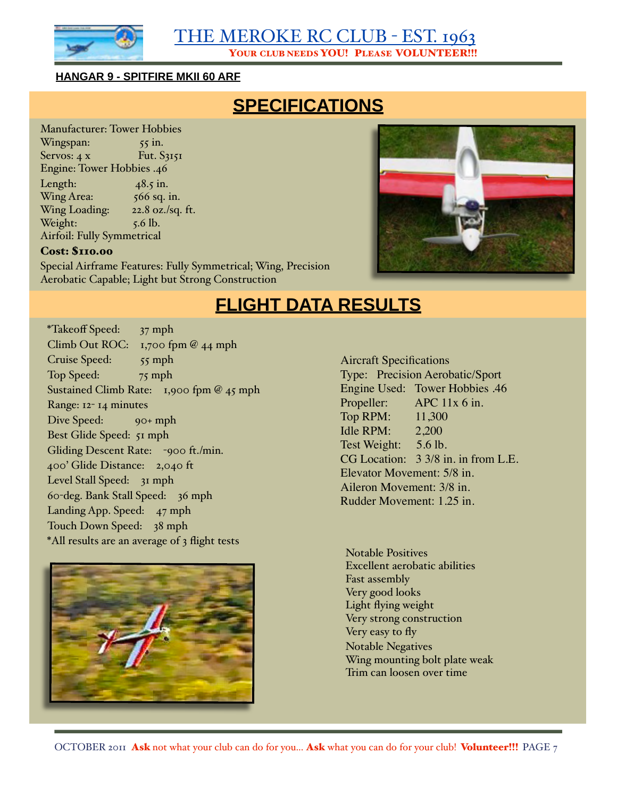

#### **HANGAR 9 - SPITFIRE MKII 60 ARF**

### **SPECIFICATIONS**

Manufacturer: Tower Hobbies  $Wingspan:$   $55 \in \mathbb{R}$  $S$ ervos: 4 x Fut.  $S_3151$ Engine: Tower Hobbies .46 Length:  $48.5$  in.  $Wing Area: 566 sq. in.$ Wing Loading: 22.8 oz./sq. ft. Weight:  $\frac{5.6 \text{ lb}}{1000 \text{ lb}}$ . Airfoil: Fully Symmetrical

### Cost: \$110.00

Special Airframe Features: Fully Symmetrical; Wing, Precision Aerobatic Capable; Light but Strong Construction



### **FLIGHT DATA RESULTS**

\*Takeoff Speed: 37 mph Climb Out ROC: 1,700 fpm @ 44 mph Cruise Speed: 55 mph Top Speed: 75 mph Sustained Climb Rate: 1,900 fpm @ 45 mph Range: 12- 14 minutes Dive Speed: 90+ mph Best Glide Speed: 51 mph Gliding Descent Rate: -900 ft./min. 400' Glide Distance: 2,040 ft Level Stall Speed: 31 mph 60-deg. Bank Stall Speed: 36 mph Landing App. Speed: 47 mph Touch Down Speed: 38 mph \*All results are an average of 3 flight tests



Aircraft Specifications Type: Precision Aerobatic/Sport Engine Used: Tower Hobbies .46 Propeller: APC 11x 6 in. Top RPM: 11,300 Idle RPM: 2,200 Test Weight: 5.6 lb. CG Location:  $3 \frac{3}{8}$  in. in from L.E. Elevator Movement: 5/8 in. Aileron Movement: 3/8 in. Rudder Movement: 1.25 in.

Notable Positives Excellent aerobatic abilities Fast assembly Very good looks Light flying weight Very strong construction Very easy to fly Notable Negatives Wing mounting bolt plate weak Trim can loosen over time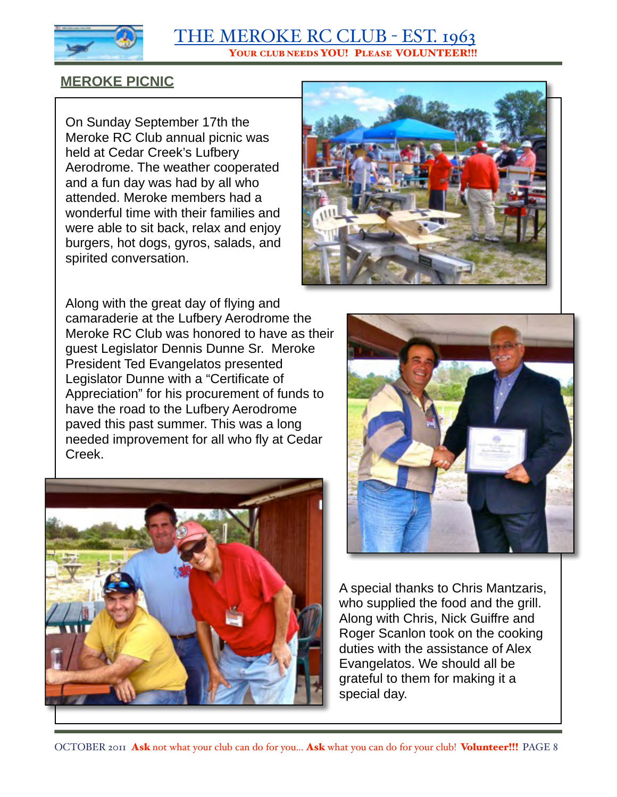

### **MEROKE PICNIC**

On Sunday September 17th the Meroke RC Club annual picnic was held at Cedar Creek's Lufbery Aerodrome. The weather cooperated and a fun day was had by all who attended. Meroke members had a wonderful time with their families and were able to sit back, relax and enjoy burgers, hot dogs, gyros, salads, and spirited conversation.



Along with the great day of flying and camaraderie at the Lufbery Aerodrome the Meroke RC Club was honored to have as their guest Legislator Dennis Dunne Sr. Meroke President Ted Evangelatos presented Legislator Dunne with a "Certificate of Appreciation" for his procurement of funds to have the road to the Lufbery Aerodrome paved this past summer. This was a long needed improvement for all who fly at Cedar Creek.





A special thanks to Chris Mantzaris, who supplied the food and the grill. Along with Chris, Nick Guiffre and Roger Scanlon took on the cooking duties with the assistance of Alex Evangelatos. We should all be grateful to them for making it a special day.